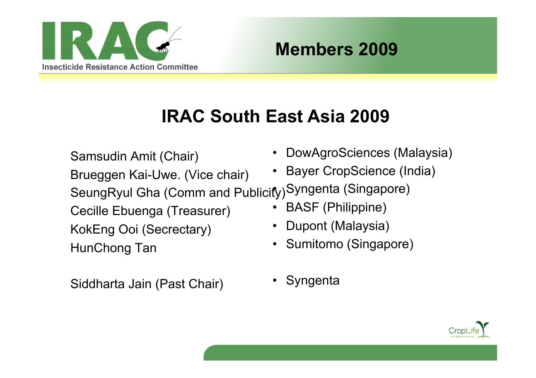

#### **Members 2009**

# **IRAC South East Asia 2009**

• DowAgroSciences (Malaysia) • Bayer CropScience (India) SeungRyul Gha (Comm and Publicity) Syngenta (Singapore) • BASF (Philippine) • Dupont (Malaysia) • Sumitomo (Singapore) Samsudin Amit (Chair) Brueggen Kai-Uwe. (Vice chair) Cecille Ebuenga (Treasurer) KokEng Ooi (Secrectary) HunChong Tan

Siddharta Jain (Past Chair)

**Syngenta** 

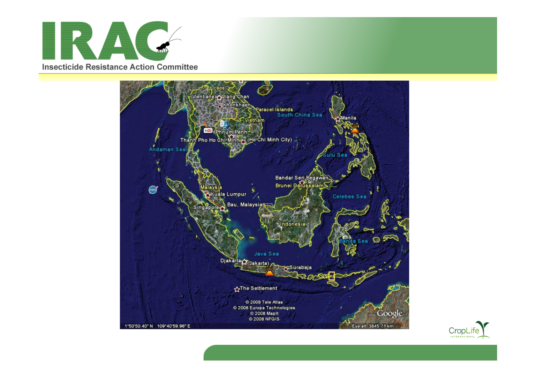



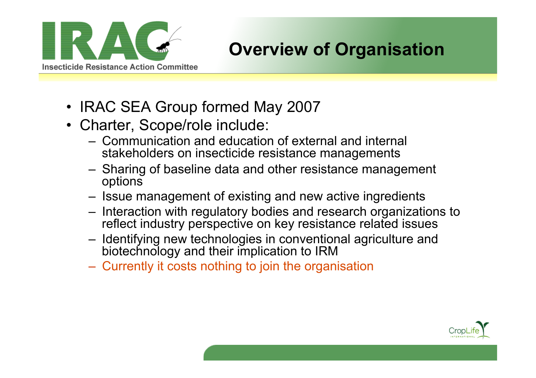

### **Overview of Organisation**

- IRAC SEA Group formed May 2007
- Charter, Scope/role include:
	- Communication and education of external and internal stakeholders on insecticide resistance managements
	- Sharing of baseline data and other resistance management options
	- Issue management of existing and new active ingredients
	- Interaction with regulatory bodies and research organizations to reflect industry perspective on key resistance related issues
	- Identifying new technologies in conventional agriculture and biotechnology and their implication to IRM
	- Currently it costs nothing to join the organisation

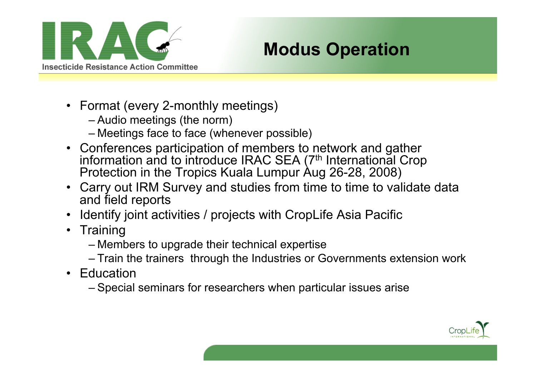

### **Modus Operation**

- Format (every 2-monthly meetings)
	- Audio meetings (the norm)
	- Meetings face to face (whenever possible)
- Conferences participation of members to network and gather information and to introduce IRAC SEA (7<sup>th</sup> International Crop Protection in the Tropics Kuala Lumpur Aug 26-28, 2008)
- Carry out IRM Survey and studies from time to time to validate data and field reports
- Identify joint activities / projects with CropLife Asia Pacific
- Training
	- Members to upgrade their technical expertise
	- Train the trainers through the Industries or Governments extension work
- Education
	- Special seminars for researchers when particular issues arise

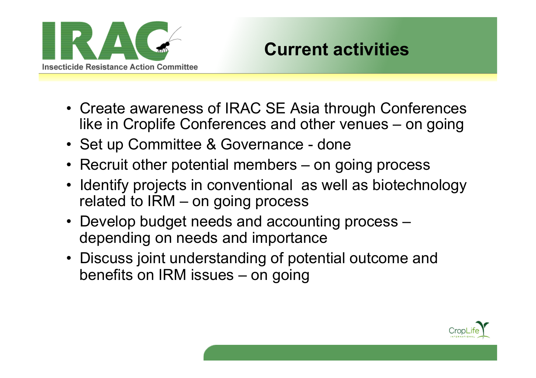

### **Current activities**

- Create awareness of IRAC SE Asia through Conferences like in Croplife Conferences and other venues – on going
- Set up Committee & Governance done
- Recruit other potential members on going process
- Identify projects in conventional as well as biotechnology related to IRM – on going process
- Develop budget needs and accounting process depending on needs and importance
- Discuss joint understanding of potential outcome and benefits on IRM issues – on going

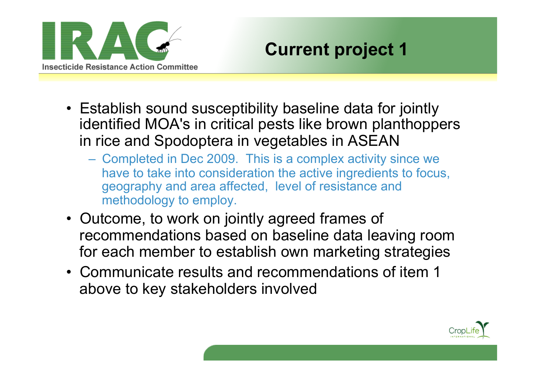

### **Current project 1**

- Establish sound susceptibility baseline data for jointly identified MOA's in critical pests like brown planthoppers in rice and Spodoptera in vegetables in ASEAN
	- Completed in Dec 2009. This is a complex activity since we have to take into consideration the active ingredients to focus, geography and area affected, level of resistance and methodology to employ.
- Outcome, to work on jointly agreed frames of recommendations based on baseline data leaving room for each member to establish own marketing strategies
- Communicate results and recommendations of item 1 above to key stakeholders involved

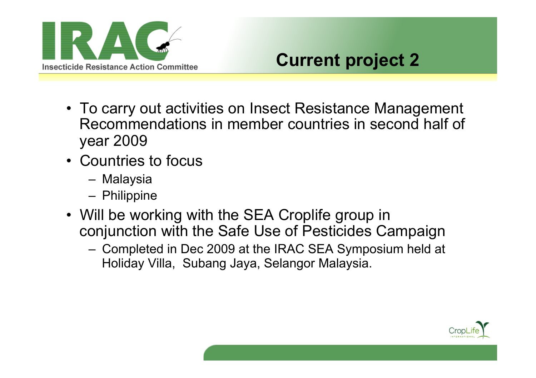

### **Current project 2**

- To carry out activities on Insect Resistance Management Recommendations in member countries in second half of year 2009
- Countries to focus
	- Malaysia
	- Philippine
- Will be working with the SEA Croplife group in conjunction with the Safe Use of Pesticides Campaign
	- Completed in Dec 2009 at the IRAC SEA Symposium held at Holiday Villa, Subang Jaya, Selangor Malaysia.